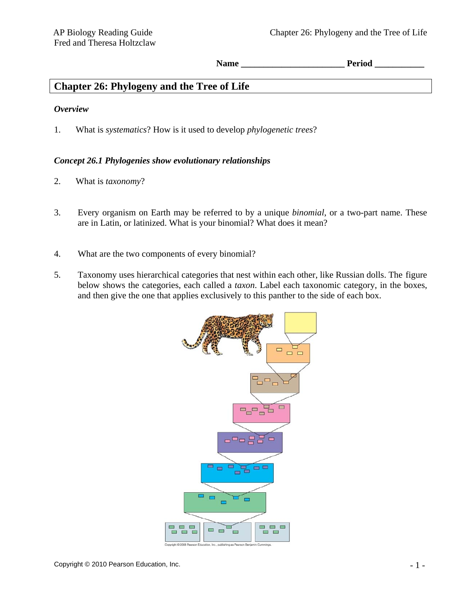Name **Period**  $\blacksquare$ 

# **Chapter 26: Phylogeny and the Tree of Life**

### *Overview*

1. What is *systematics*? How is it used to develop *phylogenetic trees*?

## *Concept 26.1 Phylogenies show evolutionary relationships*

- 2. What is *taxonomy*?
- 3. Every organism on Earth may be referred to by a unique *binomial*, or a two-part name. These are in Latin, or latinized. What is your binomial? What does it mean?
- 4. What are the two components of every binomial?
- 5. Taxonomy uses hierarchical categories that nest within each other, like Russian dolls. The figure below shows the categories, each called a *taxon*. Label each taxonomic category, in the boxes, and then give the one that applies exclusively to this panther to the side of each box.

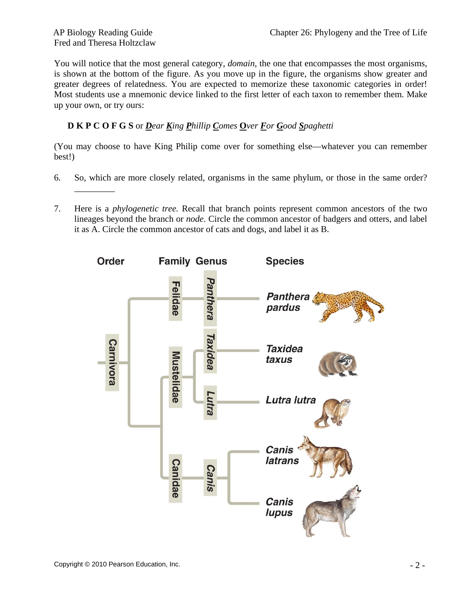\_\_\_\_\_\_\_\_\_

You will notice that the most general category, *domain*, the one that encompasses the most organisms, is shown at the bottom of the figure. As you move up in the figure, the organisms show greater and greater degrees of relatedness. You are expected to memorize these taxonomic categories in order! Most students use a mnemonic device linked to the first letter of each taxon to remember them. Make up your own, or try ours:

# **D K P C O F G S** or *Dear King Phillip Comes* **O***ver For Good Spaghetti*

(You may choose to have King Philip come over for something else—whatever you can remember best!)

- 6. So, which are more closely related, organisms in the same phylum, or those in the same order?
- 7. Here is a *phylogenetic tree.* Recall that branch points represent common ancestors of the two lineages beyond the branch or *node*. Circle the common ancestor of badgers and otters, and label it as A. Circle the common ancestor of cats and dogs, and label it as B.

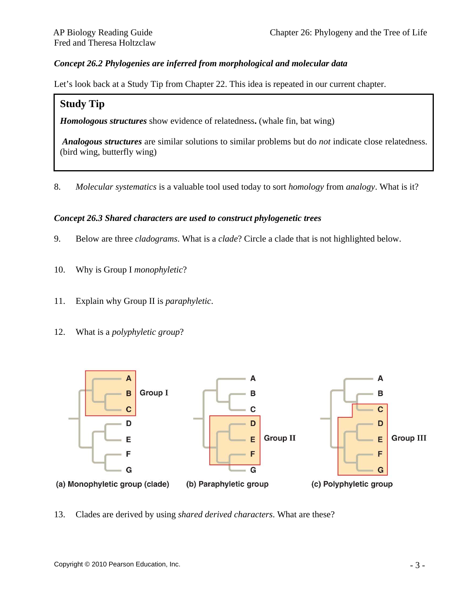## *Concept 26.2 Phylogenies are inferred from morphological and molecular data*

Let's look back at a Study Tip from Chapter 22. This idea is repeated in our current chapter.

### **Study Tip**

*Homologous structures* show evidence of relatedness**.** (whale fin, bat wing)

 *Analogous structures* are similar solutions to similar problems but do *not* indicate close relatedness. (bird wing, butterfly wing)

8. *Molecular systematics* is a valuable tool used today to sort *homology* from *analogy*. What is it?

#### *Concept 26.3 Shared characters are used to construct phylogenetic trees*

- 9. Below are three *cladograms*. What is a *clade*? Circle a clade that is not highlighted below.
- 10.Why is Group I *monophyletic*?
- 11. Explain why Group II is *paraphyletic*.
- 12. What is a *polyphyletic group*?



13. Clades are derived by using *shared derived characters*. What are these?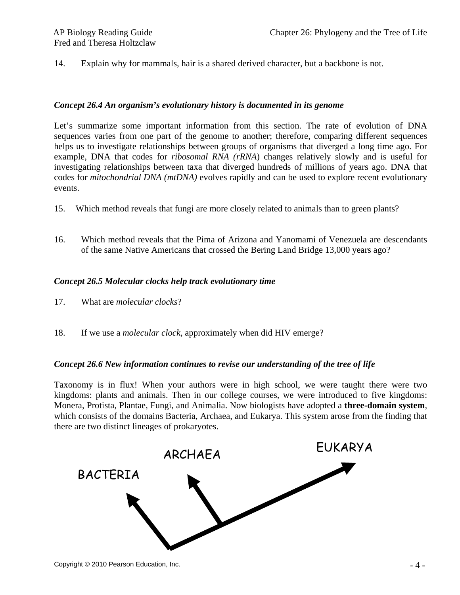14. Explain why for mammals, hair is a shared derived character, but a backbone is not.

#### *Concept 26.4 An organism's evolutionary history is documented in its genome*

Let's summarize some important information from this section. The rate of evolution of DNA sequences varies from one part of the genome to another; therefore, comparing different sequences helps us to investigate relationships between groups of organisms that diverged a long time ago. For example, DNA that codes for *ribosomal RNA (rRNA*) changes relatively slowly and is useful for investigating relationships between taxa that diverged hundreds of millions of years ago. DNA that codes for *mitochondrial DNA (mtDNA)* evolves rapidly and can be used to explore recent evolutionary events.

- 15. Which method reveals that fungi are more closely related to animals than to green plants?
- 16. Which method reveals that the Pima of Arizona and Yanomami of Venezuela are descendants of the same Native Americans that crossed the Bering Land Bridge 13,000 years ago?

#### *Concept 26.5 Molecular clocks help track evolutionary time*

- 17. What are *molecular clocks*?
- 18. If we use a *molecular clock*, approximately when did HIV emerge?

#### *Concept 26.6 New information continues to revise our understanding of the tree of life*

Taxonomy is in flux! When your authors were in high school, we were taught there were two kingdoms: plants and animals. Then in our college courses, we were introduced to five kingdoms: Monera, Protista, Plantae, Fungi, and Animalia. Now biologists have adopted a **three-domain system**, which consists of the domains Bacteria, Archaea, and Eukarya. This system arose from the finding that there are two distinct lineages of prokaryotes.